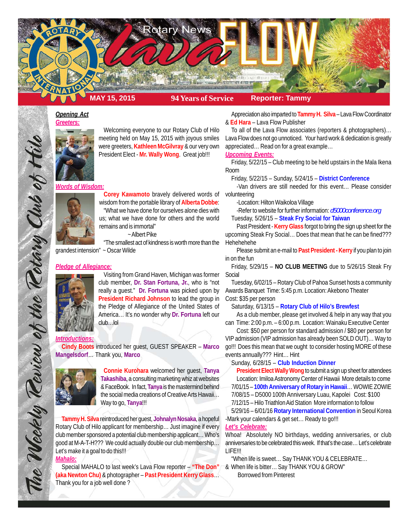

#### *Opening Act Greeters:*



Welcoming everyone to our Rotary Club of Hilo meeting held on May 15, 2015 with joyous smiles were greeters, **Kathleen McGilvray** & our very own President Elect - **Mr. Wally Wong**. Great job!!!

### *Words of Wisdom:*



Corey Kawamoto bravely delivered words of volunteering wisdom from the portable library of **Alberta Dobbe**: "What we have done for ourselves alone dies with us; what we have done for others and the world remains and is immortal"

~ Albert Pike

"The smallest act of kindness is worth more than the grandest intension" ~ Oscar Wilde

## *Pledge of Allegiance:*



The Weekly Review of the Rotary Club of Hilo

Visiting from Grand Haven, Michigan was former club member, **Dr. Stan Fortuna, Jr.**, who is "not really a guest." **Dr. Fortuna** was picked upon by **President Richard Johnson** to lead the group in the Pledge of Allegiance of the United States of America… It's no wonder why **Dr. Fortuna** left our club…lol

## *Introductions:*

**Cindy Boots** introduced her guest, GUEST SPEAKER – **Marco Mangelsdorf**… Thank you, **Marco**



**Connie Kurohara** welcomed her guest, **Tanya Takashiba**, a consulting marketing whiz at websites & FaceBook. In fact, **Tanya** is the mastermind behind the social media creations of Creative Arts Hawaii… Way to go, **Tanya**!!!

**Tammy H. Silva** reintroduced her guest, **Johnalyn Nosaka**, a hopeful Rotary Club of Hilo applicant for membership… Just imagine if every club member sponsored a potential club membership applicant… Who's good at M-A-T-H??? We could actually double our club membership… Let's make it a goal to do this!!! *Mahalo:*

# Special MAHALO to last week's Lava Flow reporter – **"The Don" (aka Newton Chu)** & photographer – **Past President Kerry Glass**… Thank you for a job well done ?

Appreciation also imparted to **Tammy H. Silva** – Lava Flow Coordinator & **Ed Hara** – Lava Flow Publisher

To all of the Lava Flow associates (reporters & photographers)… Lava Flow does not go unnoticed. Your hard work & dedication is greatly appreciated… Read on for a great example…

# *Upcoming Events:*

Friday, 5/22/15 – Club meeting to be held upstairs in the Mala Ikena Room

Friday, 5/22/15 – Sunday, 5/24/15 – **District Conference**

-Van drivers are still needed for this event… Please consider

-Location: Hilton Waikoloa Village

-Refer to website for further information: *d5000conference.org*

Tuesday, 5/26/15 – **Steak Fry Social for Taiwan**

Past President - **Kerry Glass** forgot to bring the sign up sheet for the upcoming Steak Fry Social… Does that mean that he can be fined??? Hehehehehe

Please submit an e-mail to **Past President - Kerry** if you plan to join in on the fun

Friday, 5/29/15 – **NO CLUB MEETING** due to 5/26/15 Steak Fry Social

Tuesday, 6/02/15 – Rotary Club of Pahoa Sunset hosts a community Awards Banquet Time: 5:45 p.m. Location: Akebono Theater Cost: \$35 per person

Saturday, 6/13/15 – **Rotary Club of Hilo's Brewfest**

As a club member, please get involved & help in any way that you can Time: 2:00 p.m. – 6:00 p.m. Location: Wainaku Executive Center

Cost: \$50 per person for standard admission / \$80 per person for VIP admission (VIP admission has already been SOLD OUT)… Way to go!!! Does this mean that we ought to consider hosting MORE of these events annually??? Hint… Hint

#### Sunday, 6/28/15 – **Club Induction Dinner**

**President Elect Wally Wong** to submit a sign up sheet for attendees Location: Imiloa Astronomy Center of Hawaii More details to come 7/01/15 – **100th Anniversary of Rotary in Hawaii**… WOWIE ZOWIE 7/08/15 – D5000 100th Anniversary Luau, Kapolei Cost: \$100

7/12/15 – Hilo Triathlon Aid Station More information to follow

5/29/16 – 6/01/16 **Rotary International Convention** in Seoul Korea -Mark your calendars & get set… Ready to go!!!

## *Let's Celebrate:*

Whoa! Absolutely NO birthdays, wedding anniversaries, or club anniversaries to be celebrated this week. If that's the case… Let's celebrate LIFE!!!

"When life is sweet… Say THANK YOU & CELEBRATE…

& When life is bitter… Say THANK YOU & GROW" Borrowed from Pinterest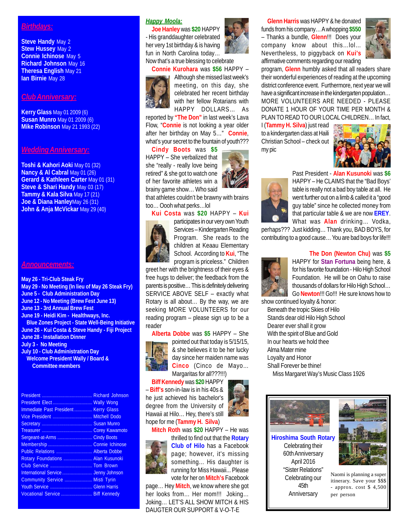# *Birthdays:*

**Steve Handy May 2 Stew Hussey** May 2 **Connie Ichinose** May 5 **Richard Johnson** May 16 **Theresa English** May 21 **Ian Birnie** May 28

# *Club Anniversary:*

**Kerry Glass** May 01 2009 (6) **Susan Munro** May 01 2009 (6) **Mike Robinson** May 21 1993 (22)

# *Wedding Anniversary:*

**Toshi & Kahori Aoki** May 01 (32) **Nancy & Al Cabral** May 01 (26) **Gerard & Kathleen Carter** May 01 (31) **Steve & Shari Handy** May 03 (17) **Tammy & Kala Silva** May 17 (21) **Joe & Diana Hanley**May 26 (31) **John & Anja McVickar** May 29 (40)

#### *Announcements:*

**May 26 - Tri-Club Steak Fry May 29 - No Meeting (In lieu of May 26 Steak Fry) June 5 - Club Administration Day June 12 - No Meeting (Brew Fest June 13) June 13 - 3rd Annual Brew Fest June 19 - Heidi Kim - Healthways, Inc. Blue Zones Project - State Well-Being Initiative June 26 - Kui Costa & Steve Handy - Fiji Project June 28 - Installation Dinner July 3 - No Meeting July 10 - Club Administration Day Welcome President Wally / Board & Committee members**

|                                      | <b>Wally Wong</b>    |
|--------------------------------------|----------------------|
| Immediate Past President Kerry Glass |                      |
|                                      | <b>Mitchell Dodo</b> |
|                                      | <b>Susan Munro</b>   |
|                                      |                      |
| Sergeant-at-Arms                     | <b>Cindy Boots</b>   |
|                                      |                      |
| Public Relations  Alberta Dobbe      |                      |
| Rotary Foundations  Alan Kusunoki    |                      |
|                                      |                      |
| International Service  Jenny Johnson |                      |
| Community Service  Misti Tyrin       |                      |
|                                      |                      |
| Vocational Service  Biff Kennedy     |                      |

# *Happy Moola:*

**Joe Hanley** was **\$20** HAPPY - His granddaughter celebrated her very 1st birthday & is having fun in North Carolina today… Now that's a true blessing to celebrate

## **Connie Kurohara** was **\$56** HAPPY –



Although she missed last week's meeting, on this day, she celebrated her recent birthday with her fellow Rotarians with HAPPY DOLLARS… As

reported by **"The Don"** in last week's Lava Flow, "**Connie** is not looking a year older after her birthday on May 5…" **Connie**, what's your secret to the fountain of youth???

**Cindy Boots** was **\$5** HAPPY – She verbalized that she "really - really love being retired" & she got to watch one of her favorite athletes win a brainy game show… Who said

that athletes couldn't be brawny with brains too… Oooh what perks…lol

#### **Kui Costa** was **\$20** HAPPY – **Kui**



participates in our very own Youth Services – Kindergarten Reading Program. She reads to the children at Keaau Elementary School. According to **Kui**, "The program is priceless." Children

greet her with the brightness of their eyes & free hugs to deliver; the feedback from the parents is positive… This is definitely delivering SERVICE ABOVE SELF – exactly what Rotary is all about… By the way, we are seeking MORE VOLUNTEERS for our reading program – please sign up to be a reader

**Alberta Dobbe** was **\$5** HAPPY – She



pointed out that today is 5/15/15, & she believes it to be her lucky day since her maiden name was **Cinco** (Cinco de Mayo… Margaritas for all???!!!)

**Biff Kennedy** was **\$20** HAPPY – **Biff's** son-in-law is in his 40s & he just achieved his bachelor's degree from the University of Hawaii at Hilo… Hey, there's still hope for me (**Tammy H. Silva**)



**Mitch Roth** was **\$20** HAPPY – He was



thrilled to find out that the **Rotary Club of Hilo** has a Facebook page; however, it's missing something... His daughter is running for Miss Hawaii... Please vote for her on **Mitch's** Facebook

page… Hey **Mitch**, we know where she got her looks from… Her mom!!! Joking… Joking… LET'S ALL SHOW MITCH & HIS DAUGTER OUR SUPPORT & V-O-T-E



**Glenn Harris** was HAPPY & he donated funds from his company… A whopping **\$550** – Thanks a bundle, **Glenn**!!! Does your company know about this…lol… Nevertheless, to piggyback on **Kui's** affirmative comments regarding our reading



program, **Glenn** humbly asked that all readers share their wonderful experiences of reading at the upcoming district conference event. Furthermore, next year we will have a significant increase in the kindergarten population… MORE VOLUNTEERS ARE NEEDED - PLEASE DONATE 1 HOUR OF YOUR TIME PER MONTH & PLAN TO READ TO OUR LOCAL CHILDREN… In fact,

I (**Tammy H. Silva**) just read to a kindergarten class at Haili Christian School – check out my pic





Past President - **Alan Kusunoki** was **\$6** HAPPY – He CLAIMS that the "Bad Boys' table is really not a bad boy table at all. He went further out on a limb & called it a "good guy table" since he collected money from that particular table & we are now **EREY**. What was **Alan** drinking… Vodka,

perhaps??? Just kidding… Thank you, BAD BOYS, for contributing to a good cause… You are bad boys for life!!!

## **The Don (Newton Chu)** was **\$5**



HAPPY for **Stan Fortuna** being here, & for his favorite foundation - Hilo High School Foundation. He will be on Oahu to raise thousands of dollars for Hilo High School… Go **Newton**!!! Go!!! He sure knows how to

show continued loyalty & honor: Beneath the tropic Skies of Hilo Stands dear old Hilo High School Dearer ever shall it grow With the spirit of Blue and Gold In our hearts we hold thee Alma Mater mine Loyalty and Honor Shall Forever be thine! Miss Margaret Way's Music Class 1926



**Hiroshima South Rotary** Celebrating their 60th Anniversary April 2016 "Sister Relations" Celebrating our 45th **Anniversary** 



Naomi is planning a super itinerary. Save your \$\$\$ - approx. cost \$ 4,500 per person